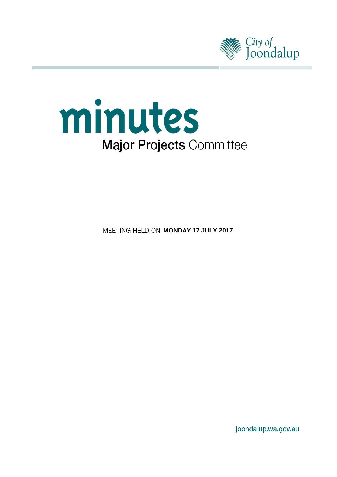



**MEETING HELD ON MONDAY 17 JULY 2017** 

joondalup.wa.gov.au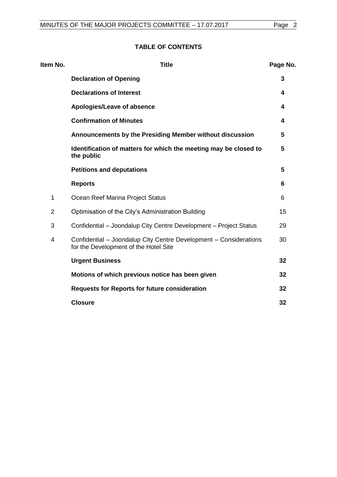# **TABLE OF CONTENTS**

| Item No.       | <b>Title</b>                                                                                               | Page No. |
|----------------|------------------------------------------------------------------------------------------------------------|----------|
|                | <b>Declaration of Opening</b>                                                                              | 3        |
|                | <b>Declarations of Interest</b>                                                                            | 4        |
|                | Apologies/Leave of absence                                                                                 | 4        |
|                | <b>Confirmation of Minutes</b>                                                                             | 4        |
|                | Announcements by the Presiding Member without discussion                                                   | 5        |
|                | Identification of matters for which the meeting may be closed to<br>the public                             | 5        |
|                | <b>Petitions and deputations</b>                                                                           | 5        |
|                | <b>Reports</b>                                                                                             | 6        |
| 1              | Ocean Reef Marina Project Status                                                                           | 6        |
| $\overline{2}$ | Optimisation of the City's Administration Building                                                         | 15       |
| 3              | Confidential - Joondalup City Centre Development - Project Status                                          | 29       |
| 4              | Confidential - Joondalup City Centre Development - Considerations<br>for the Development of the Hotel Site | 30       |
|                | <b>Urgent Business</b>                                                                                     | 32       |
|                | Motions of which previous notice has been given                                                            | 32       |
|                | <b>Requests for Reports for future consideration</b>                                                       | 32       |
|                | <b>Closure</b>                                                                                             | 32       |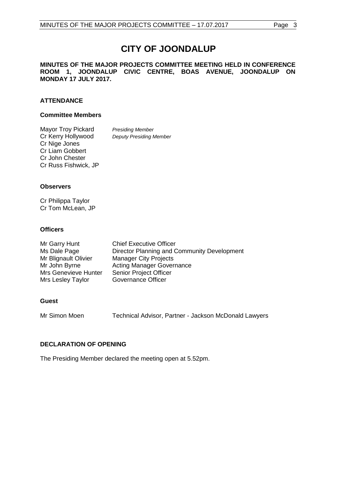# **CITY OF JOONDALUP**

#### **MINUTES OF THE MAJOR PROJECTS COMMITTEE MEETING HELD IN CONFERENCE ROOM 1, JOONDALUP CIVIC CENTRE, BOAS AVENUE, JOONDALUP ON MONDAY 17 JULY 2017.**

# **ATTENDANCE**

## **Committee Members**

Mayor Troy Pickard *Presiding Member*<br>Cr Kerry Hollywood *Deputy Presiding N* **Deputy Presiding Member** Cr Nige Jones Cr Liam Gobbert Cr John Chester Cr Russ Fishwick, JP

#### **Observers**

Cr Philippa Taylor Cr Tom McLean, JP

# **Officers**

| Mr Garry Hunt        | <b>Chief Executive Officer</b>              |
|----------------------|---------------------------------------------|
| Ms Dale Page         | Director Planning and Community Development |
| Mr Blignault Olivier | <b>Manager City Projects</b>                |
| Mr John Byrne        | <b>Acting Manager Governance</b>            |
| Mrs Genevieve Hunter | <b>Senior Project Officer</b>               |
| Mrs Lesley Taylor    | <b>Governance Officer</b>                   |

# **Guest**

Mr Simon Moen Technical Advisor, Partner - Jackson McDonald Lawyers

# <span id="page-2-0"></span>**DECLARATION OF OPENING**

The Presiding Member declared the meeting open at 5.52pm.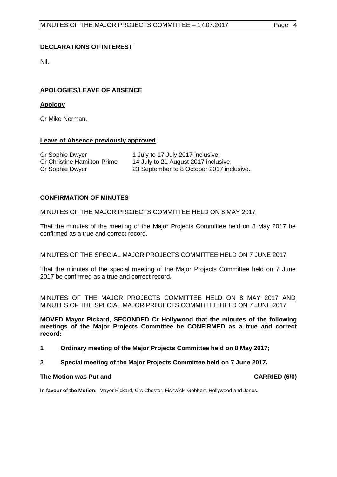# <span id="page-3-0"></span>**DECLARATIONS OF INTEREST**

Nil.

# <span id="page-3-1"></span>**APOLOGIES/LEAVE OF ABSENCE**

# **Apology**

Cr Mike Norman.

# **Leave of Absence previously approved**

| Cr Sophie Dwyer                    | 1 July to 17 July 2017 inclusive;         |
|------------------------------------|-------------------------------------------|
| <b>Cr Christine Hamilton-Prime</b> | 14 July to 21 August 2017 inclusive;      |
| Cr Sophie Dwyer                    | 23 September to 8 October 2017 inclusive. |

# <span id="page-3-2"></span>**CONFIRMATION OF MINUTES**

# MINUTES OF THE MAJOR PROJECTS COMMITTEE HELD ON 8 MAY 2017

That the minutes of the meeting of the Major Projects Committee held on 8 May 2017 be confirmed as a true and correct record.

#### MINUTES OF THE SPECIAL MAJOR PROJECTS COMMITTEE HELD ON 7 JUNE 2017

That the minutes of the special meeting of the Major Projects Committee held on 7 June 2017 be confirmed as a true and correct record.

MINUTES OF THE MAJOR PROJECTS COMMITTEE HELD ON 8 MAY 2017 AND MINUTES OF THE SPECIAL MAJOR PROJECTS COMMITTEE HELD ON 7 JUNE 2017

**MOVED Mayor Pickard, SECONDED Cr Hollywood that the minutes of the following meetings of the Major Projects Committee be CONFIRMED as a true and correct record:**

- **1 Ordinary meeting of the Major Projects Committee held on 8 May 2017;**
- **2 Special meeting of the Major Projects Committee held on 7 June 2017.**

#### **The Motion was Put and CARRIED (6/0)**

**In favour of the Motion:** Mayor Pickard, Crs Chester, Fishwick, Gobbert, Hollywood and Jones.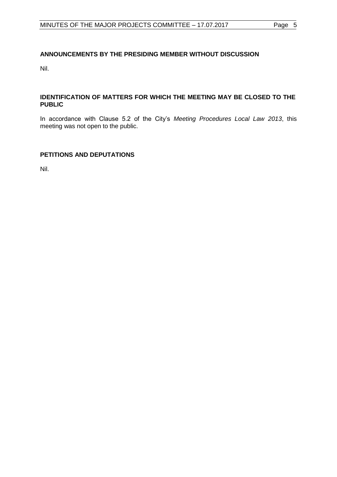# <span id="page-4-0"></span>**ANNOUNCEMENTS BY THE PRESIDING MEMBER WITHOUT DISCUSSION**

Nil.

# <span id="page-4-1"></span>**IDENTIFICATION OF MATTERS FOR WHICH THE MEETING MAY BE CLOSED TO THE PUBLIC**

In accordance with Clause 5.2 of the City"s *Meeting Procedures Local Law 2013*, this meeting was not open to the public.

# <span id="page-4-2"></span>**PETITIONS AND DEPUTATIONS**

Nil.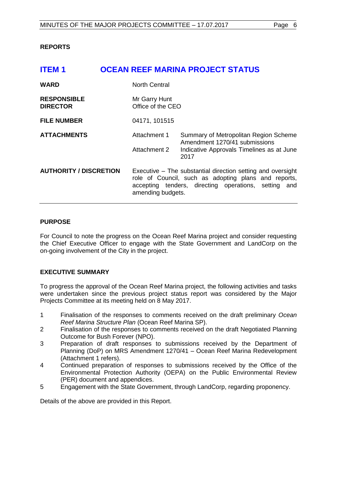# <span id="page-5-0"></span>**REPORTS**

# <span id="page-5-1"></span>**ITEM 1 OCEAN REEF MARINA PROJECT STATUS WARD** North Central **RESPONSIBLE** Mr Garry Hunt **DIRECTOR** Office of the CEO **FILE NUMBER** 04171, 101515 **ATTACHMENTS** Attachment 1 Summary of Metropolitan Region Scheme Amendment 1270/41 submissions Attachment 2 Indicative Approvals Timelines as at June 2017 **AUTHORITY / DISCRETION** Executive – The substantial direction setting and oversight role of Council, such as adopting plans and reports, accepting tenders, directing operations, setting and amending budgets.

# **PURPOSE**

For Council to note the progress on the Ocean Reef Marina project and consider requesting the Chief Executive Officer to engage with the State Government and LandCorp on the on-going involvement of the City in the project.

# **EXECUTIVE SUMMARY**

To progress the approval of the Ocean Reef Marina project, the following activities and tasks were undertaken since the previous project status report was considered by the Major Projects Committee at its meeting held on 8 May 2017.

- 1 Finalisation of the responses to comments received on the draft preliminary *Ocean Reef Marina Structure Plan* (Ocean Reef Marina SP).
- 2 Finalisation of the responses to comments received on the draft Negotiated Planning Outcome for Bush Forever (NPO).
- 3 Preparation of draft responses to submissions received by the Department of Planning (DoP) on MRS Amendment 1270/41 – Ocean Reef Marina Redevelopment (Attachment 1 refers).
- 4 Continued preparation of responses to submissions received by the Office of the Environmental Protection Authority (OEPA) on the Public Environmental Review (PER) document and appendices.
- 5 Engagement with the State Government, through LandCorp, regarding proponency.

Details of the above are provided in this Report.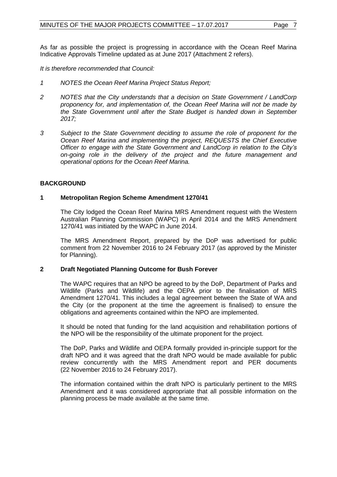As far as possible the project is progressing in accordance with the Ocean Reef Marina Indicative Approvals Timeline updated as at June 2017 (Attachment 2 refers).

*It is therefore recommended that Council:*

- *1 NOTES the Ocean Reef Marina Project Status Report;*
- *2 NOTES that the City understands that a decision on State Government / LandCorp proponency for, and implementation of, the Ocean Reef Marina will not be made by the State Government until after the State Budget is handed down in September 2017;*
- *3 Subject to the State Government deciding to assume the role of proponent for the Ocean Reef Marina and implementing the project, REQUESTS the Chief Executive Officer to engage with the State Government and LandCorp in relation to the City's on-going role in the delivery of the project and the future management and operational options for the Ocean Reef Marina.*

# **BACKGROUND**

# **1 Metropolitan Region Scheme Amendment 1270/41**

The City lodged the Ocean Reef Marina MRS Amendment request with the Western Australian Planning Commission (WAPC) in April 2014 and the MRS Amendment 1270/41 was initiated by the WAPC in June 2014.

The MRS Amendment Report, prepared by the DoP was advertised for public comment from 22 November 2016 to 24 February 2017 (as approved by the Minister for Planning).

# **2 Draft Negotiated Planning Outcome for Bush Forever**

The WAPC requires that an NPO be agreed to by the DoP, Department of Parks and Wildlife (Parks and Wildlife) and the OEPA prior to the finalisation of MRS Amendment 1270/41. This includes a legal agreement between the State of WA and the City (or the proponent at the time the agreement is finalised) to ensure the obligations and agreements contained within the NPO are implemented.

It should be noted that funding for the land acquisition and rehabilitation portions of the NPO will be the responsibility of the ultimate proponent for the project.

The DoP, Parks and Wildlife and OEPA formally provided in-principle support for the draft NPO and it was agreed that the draft NPO would be made available for public review concurrently with the MRS Amendment report and PER documents (22 November 2016 to 24 February 2017).

The information contained within the draft NPO is particularly pertinent to the MRS Amendment and it was considered appropriate that all possible information on the planning process be made available at the same time.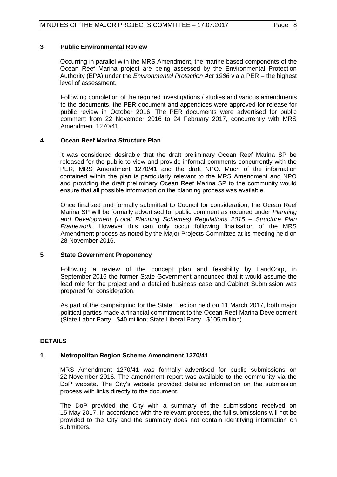## **3 Public Environmental Review**

Occurring in parallel with the MRS Amendment, the marine based components of the Ocean Reef Marina project are being assessed by the Environmental Protection Authority (EPA) under the *Environmental Protection Act 1986* via a PER – the highest level of assessment.

Following completion of the required investigations / studies and various amendments to the documents, the PER document and appendices were approved for release for public review in October 2016. The PER documents were advertised for public comment from 22 November 2016 to 24 February 2017, concurrently with MRS Amendment 1270/41.

#### **4 Ocean Reef Marina Structure Plan**

It was considered desirable that the draft preliminary Ocean Reef Marina SP be released for the public to view and provide informal comments concurrently with the PER, MRS Amendment 1270/41 and the draft NPO. Much of the information contained within the plan is particularly relevant to the MRS Amendment and NPO and providing the draft preliminary Ocean Reef Marina SP to the community would ensure that all possible information on the planning process was available.

Once finalised and formally submitted to Council for consideration, the Ocean Reef Marina SP will be formally advertised for public comment as required under *Planning and Development (Local Planning Schemes) Regulations 2015 – Structure Plan Framework.* However this can only occur following finalisation of the MRS Amendment process as noted by the Major Projects Committee at its meeting held on 28 November 2016.

#### **5 State Government Proponency**

Following a review of the concept plan and feasibility by LandCorp, in September 2016 the former State Government announced that it would assume the lead role for the project and a detailed business case and Cabinet Submission was prepared for consideration.

As part of the campaigning for the State Election held on 11 March 2017, both major political parties made a financial commitment to the Ocean Reef Marina Development (State Labor Party - \$40 million; State Liberal Party - \$105 million).

# **DETAILS**

# **1 Metropolitan Region Scheme Amendment 1270/41**

MRS Amendment 1270/41 was formally advertised for public submissions on 22 November 2016. The amendment report was available to the community via the DoP website. The City"s website provided detailed information on the submission process with links directly to the document.

The DoP provided the City with a summary of the submissions received on 15 May 2017. In accordance with the relevant process, the full submissions will not be provided to the City and the summary does not contain identifying information on submitters.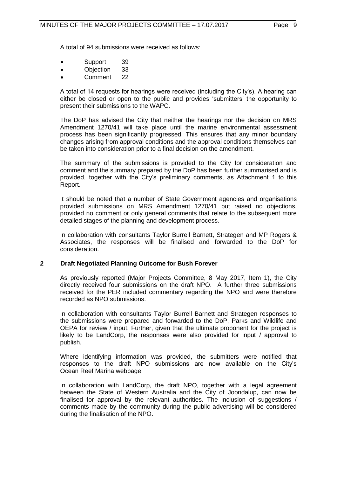A total of 94 submissions were received as follows:

- Support 39
- Objection 33
- Comment 22

A total of 14 requests for hearings were received (including the City"s). A hearing can either be closed or open to the public and provides "submitters" the opportunity to present their submissions to the WAPC.

The DoP has advised the City that neither the hearings nor the decision on MRS Amendment 1270/41 will take place until the marine environmental assessment process has been significantly progressed. This ensures that any minor boundary changes arising from approval conditions and the approval conditions themselves can be taken into consideration prior to a final decision on the amendment.

The summary of the submissions is provided to the City for consideration and comment and the summary prepared by the DoP has been further summarised and is provided, together with the City"s preliminary comments, as Attachment 1 to this Report.

It should be noted that a number of State Government agencies and organisations provided submissions on MRS Amendment 1270/41 but raised no objections, provided no comment or only general comments that relate to the subsequent more detailed stages of the planning and development process.

In collaboration with consultants Taylor Burrell Barnett, Strategen and MP Rogers & Associates, the responses will be finalised and forwarded to the DoP for consideration.

#### **2 Draft Negotiated Planning Outcome for Bush Forever**

As previously reported (Major Projects Committee, 8 May 2017, Item 1), the City directly received four submissions on the draft NPO. A further three submissions received for the PER included commentary regarding the NPO and were therefore recorded as NPO submissions.

In collaboration with consultants Taylor Burrell Barnett and Strategen responses to the submissions were prepared and forwarded to the DoP, Parks and Wildlife and OEPA for review / input. Further, given that the ultimate proponent for the project is likely to be LandCorp, the responses were also provided for input / approval to publish.

Where identifying information was provided, the submitters were notified that responses to the draft NPO submissions are now available on the City"s Ocean Reef Marina webpage.

In collaboration with LandCorp, the draft NPO, together with a legal agreement between the State of Western Australia and the City of Joondalup, can now be finalised for approval by the relevant authorities. The inclusion of suggestions / comments made by the community during the public advertising will be considered during the finalisation of the NPO.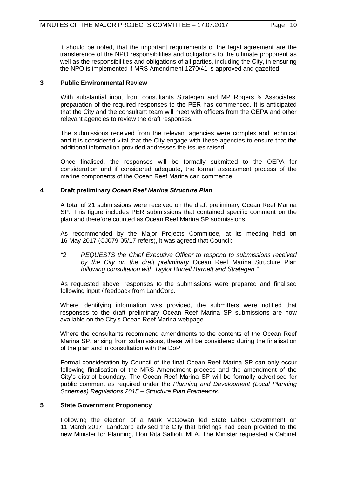It should be noted, that the important requirements of the legal agreement are the transference of the NPO responsibilities and obligations to the ultimate proponent as well as the responsibilities and obligations of all parties, including the City, in ensuring the NPO is implemented if MRS Amendment 1270/41 is approved and gazetted.

# **3 Public Environmental Review**

With substantial input from consultants Strategen and MP Rogers & Associates, preparation of the required responses to the PER has commenced. It is anticipated that the City and the consultant team will meet with officers from the OEPA and other relevant agencies to review the draft responses.

The submissions received from the relevant agencies were complex and technical and it is considered vital that the City engage with these agencies to ensure that the additional information provided addresses the issues raised.

Once finalised, the responses will be formally submitted to the OEPA for consideration and if considered adequate, the formal assessment process of the marine components of the Ocean Reef Marina can commence.

# **4 Draft preliminary** *Ocean Reef Marina Structure Plan*

A total of 21 submissions were received on the draft preliminary Ocean Reef Marina SP. This figure includes PER submissions that contained specific comment on the plan and therefore counted as Ocean Reef Marina SP submissions.

As recommended by the Major Projects Committee, at its meeting held on 16 May 2017 (CJ079-05/17 refers), it was agreed that Council:

*"2 REQUESTS the Chief Executive Officer to respond to submissions received by the City on the draft preliminary* Ocean Reef Marina Structure Plan *following consultation with Taylor Burrell Barnett and Strategen."*

As requested above, responses to the submissions were prepared and finalised following input / feedback from LandCorp.

Where identifying information was provided, the submitters were notified that responses to the draft preliminary Ocean Reef Marina SP submissions are now available on the City"s Ocean Reef Marina webpage.

Where the consultants recommend amendments to the contents of the Ocean Reef Marina SP, arising from submissions, these will be considered during the finalisation of the plan and in consultation with the DoP.

Formal consideration by Council of the final Ocean Reef Marina SP can only occur following finalisation of the MRS Amendment process and the amendment of the City"s district boundary. The Ocean Reef Marina SP will be formally advertised for public comment as required under the *Planning and Development (Local Planning Schemes) Regulations 2015 – Structure Plan Framework.*

# **5 State Government Proponency**

Following the election of a Mark McGowan led State Labor Government on 11 March 2017, LandCorp advised the City that briefings had been provided to the new Minister for Planning, Hon Rita Saffioti, MLA. The Minister requested a Cabinet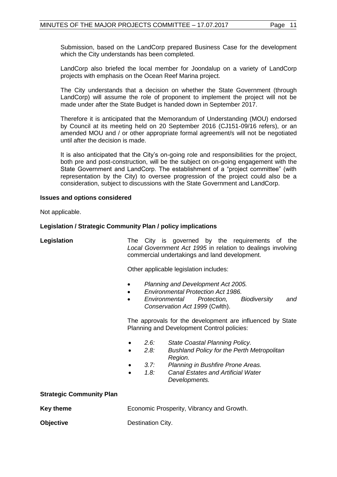Submission, based on the LandCorp prepared Business Case for the development which the City understands has been completed.

LandCorp also briefed the local member for Joondalup on a variety of LandCorp projects with emphasis on the Ocean Reef Marina project.

The City understands that a decision on whether the State Government (through LandCorp) will assume the role of proponent to implement the project will not be made under after the State Budget is handed down in September 2017.

Therefore it is anticipated that the Memorandum of Understanding (MOU) endorsed by Council at its meeting held on 20 September 2016 (CJ151-09/16 refers), or an amended MOU and / or other appropriate formal agreement/s will not be negotiated until after the decision is made.

It is also anticipated that the City's on-going role and responsibilities for the project, both pre and post-construction, will be the subject on on-going engagement with the State Government and LandCorp. The establishment of a "project committee" (with representation by the City) to oversee progression of the project could also be a consideration, subject to discussions with the State Government and LandCorp.

#### **Issues and options considered**

Not applicable.

## **Legislation / Strategic Community Plan / policy implications**

Legislation **The City is governed by the requirements of the** *Local Government Act 1995* in relation to dealings involving commercial undertakings and land development.

Other applicable legislation includes:

- *Planning and Development Act 2005.*
- *Environmental Protection Act 1986.*
- *Environmental Protection, Biodiversity and Conservation Act 1999* (Cwlth).

The approvals for the development are influenced by State Planning and Development Control policies:

- *2.6: State Coastal Planning Policy.*
	- *2.8: Bushland Policy for the Perth Metropolitan Region.*
- *3.7: Planning in Bushfire Prone Areas.*
- *1.8: Canal Estates and Artificial Water Developments.*

#### **Strategic Community Plan**

| Key theme        | Economic Prosperity, Vibrancy and Growth. |
|------------------|-------------------------------------------|
| <b>Objective</b> | Destination City.                         |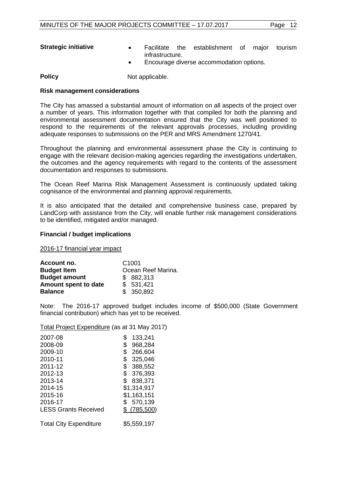- **Strategic initiative Facilitate** the establishment of major tourism infrastructure.
	- Encourage diverse accommodation options.

**Policy** Not applicable.

#### **Risk management considerations**

The City has amassed a substantial amount of information on all aspects of the project over a number of years. This information together with that compiled for both the planning and environmental assessment documentation ensured that the City was well positioned to respond to the requirements of the relevant approvals processes, including providing adequate responses to submissions on the PER and MRS Amendment 1270/41.

Throughout the planning and environmental assessment phase the City is continuing to engage with the relevant decision-making agencies regarding the investigations undertaken, the outcomes and the agency requirements with regard to the contents of the assessment documentation and responses to submissions.

The Ocean Reef Marina Risk Management Assessment is continuously updated taking cognisance of the environmental and planning approval requirements.

It is also anticipated that the detailed and comprehensive business case, prepared by LandCorp with assistance from the City, will enable further risk management considerations to be identified, mitigated and/or managed.

#### **Financial / budget implications**

2016-17 financial year impact

| Account no.          | C <sub>1001</sub>  |
|----------------------|--------------------|
| <b>Budget Item</b>   | Ocean Reef Marina. |
| <b>Budget amount</b> | \$882,313          |
| Amount spent to date | \$531,421          |
| <b>Balance</b>       | \$350,892          |

Note: The 2016-17 approved budget includes income of \$500,000 (State Government financial contribution) which has yet to be received.

#### Total Project Expenditure (as at 31 May 2017)

| 2007-08                       | 133,241<br>\$ |
|-------------------------------|---------------|
| 2008-09                       | 968,284<br>\$ |
| 2009-10                       | \$<br>266,604 |
| 2010-11                       | \$<br>325,046 |
| 2011-12                       | \$<br>388,552 |
| 2012-13                       | \$<br>376,393 |
| 2013-14                       | 838,371<br>\$ |
| 2014-15                       | \$1,314,917   |
| 2015-16                       | \$1,163,151   |
| 2016-17                       | \$<br>570,139 |
| <b>LESS Grants Received</b>   | $$$ (785,500) |
| <b>Total City Expenditure</b> | \$5,559,197   |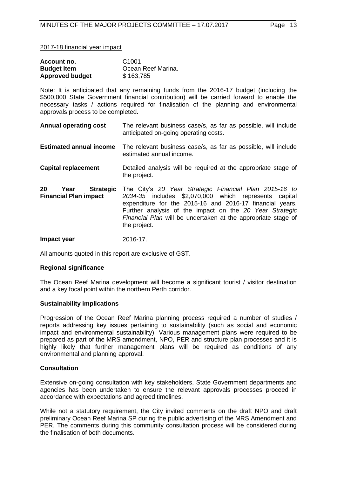2017-18 financial year impact

| Account no.            | C <sub>1001</sub>  |
|------------------------|--------------------|
| <b>Budget Item</b>     | Ocean Reef Marina. |
| <b>Approved budget</b> | \$163,785          |

Note: It is anticipated that any remaining funds from the 2016-17 budget (including the \$500,000 State Government financial contribution) will be carried forward to enable the necessary tasks / actions required for finalisation of the planning and environmental approvals process to be completed.

- **Annual operating cost** The relevant business case/s, as far as possible, will include anticipated on-going operating costs.
- **Estimated annual income** The relevant business case/s, as far as possible, will include estimated annual income.
- **Capital replacement** Detailed analysis will be required at the appropriate stage of the project.
- **20 Year Strategic Financial Plan impact**  The City"s *20 Year Strategic Financial Plan 2015-16 to 2034-35* includes \$2,070,000 which represents capital expenditure for the 2015-16 and 2016-17 financial years. Further analysis of the impact on the *20 Year Strategic Financial Plan* will be undertaken at the appropriate stage of the project.
- **Impact year** 2016-17.

All amounts quoted in this report are exclusive of GST.

#### **Regional significance**

The Ocean Reef Marina development will become a significant tourist / visitor destination and a key focal point within the northern Perth corridor.

#### **Sustainability implications**

Progression of the Ocean Reef Marina planning process required a number of studies / reports addressing key issues pertaining to sustainability (such as social and economic impact and environmental sustainability). Various management plans were required to be prepared as part of the MRS amendment, NPO, PER and structure plan processes and it is highly likely that further management plans will be required as conditions of any environmental and planning approval.

# **Consultation**

Extensive on-going consultation with key stakeholders, State Government departments and agencies has been undertaken to ensure the relevant approvals processes proceed in accordance with expectations and agreed timelines.

While not a statutory requirement, the City invited comments on the draft NPO and draft preliminary Ocean Reef Marina SP during the public advertising of the MRS Amendment and PER. The comments during this community consultation process will be considered during the finalisation of both documents.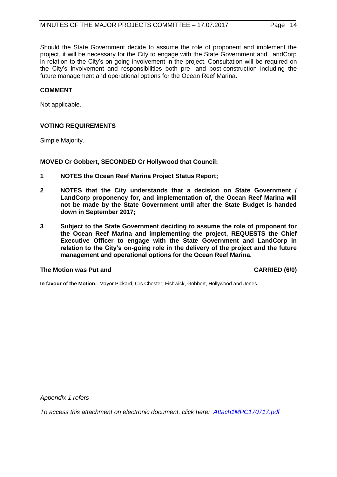Should the State Government decide to assume the role of proponent and implement the project, it will be necessary for the City to engage with the State Government and LandCorp in relation to the City"s on-going involvement in the project. Consultation will be required on the City"s involvement and responsibilities both pre- and post-construction including the future management and operational options for the Ocean Reef Marina.

#### **COMMENT**

Not applicable.

# **VOTING REQUIREMENTS**

Simple Majority.

**MOVED Cr Gobbert, SECONDED Cr Hollywood that Council:**

- **1 NOTES the Ocean Reef Marina Project Status Report;**
- **2 NOTES that the City understands that a decision on State Government / LandCorp proponency for, and implementation of, the Ocean Reef Marina will not be made by the State Government until after the State Budget is handed down in September 2017;**
- **3 Subject to the State Government deciding to assume the role of proponent for the Ocean Reef Marina and implementing the project, REQUESTS the Chief Executive Officer to engage with the State Government and LandCorp in relation to the City's on-going role in the delivery of the project and the future management and operational options for the Ocean Reef Marina.**

#### **The Motion was Put and CARRIED (6/0)**

**In favour of the Motion:** Mayor Pickard, Crs Chester, Fishwick, Gobbert, Hollywood and Jones.

*Appendix 1 refers*

*[To access this attachment on electronic document, click here: Attach1MPC170717.pdf](http://www.joondalup.wa.gov.au/files/committees/MAPC/2017/Attach1MPC170717.pdf)*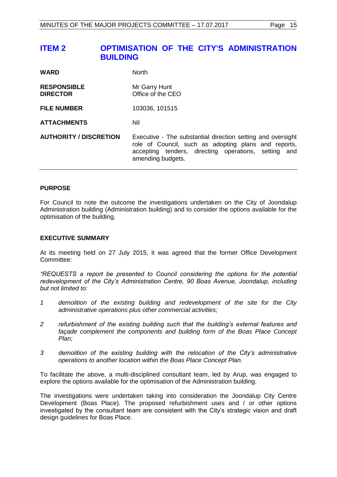# <span id="page-14-0"></span>**ITEM 2 OPTIMISATION OF THE CITY'S ADMINISTRATION BUILDING**

| <b>WARD</b>                           | <b>North</b>                                                                                                                                                                                     |
|---------------------------------------|--------------------------------------------------------------------------------------------------------------------------------------------------------------------------------------------------|
| <b>RESPONSIBLE</b><br><b>DIRECTOR</b> | Mr Garry Hunt<br>Office of the CEO                                                                                                                                                               |
| <b>FILE NUMBER</b>                    | 103036, 101515                                                                                                                                                                                   |
| <b>ATTACHMENTS</b>                    | Nil                                                                                                                                                                                              |
| <b>AUTHORITY / DISCRETION</b>         | Executive - The substantial direction setting and oversight<br>role of Council, such as adopting plans and reports,<br>accepting tenders, directing operations, setting and<br>amending budgets. |

#### **PURPOSE**

For Council to note the outcome the investigations undertaken on the City of Joondalup Administration building (Administration building) and to consider the options available for the optimisation of the building.

#### **EXECUTIVE SUMMARY**

At its meeting held on 27 July 2015, it was agreed that the former Office Development Committee:

*"REQUESTS a report be presented to Council considering the options for the potential redevelopment of the City's Administration Centre, 90 Boas Avenue, Joondalup, including but not limited to:*

- *1 demolition of the existing building and redevelopment of the site for the City administrative operations plus other commercial activities;*
- *2 refurbishment of the existing building such that the building's external features and façade complement the components and building form of the Boas Place Concept Plan;*
- *3 demolition of the existing building with the relocation of the City's administrative operations to another location within the Boas Place Concept Plan.*

To facilitate the above, a multi-disciplined consultant team, led by Arup, was engaged to explore the options available for the optimisation of the Administration building.

The investigations were undertaken taking into consideration the Joondalup City Centre Development (Boas Place). The proposed refurbishment uses and / or other options investigated by the consultant team are consistent with the City"s strategic vision and draft design guidelines for Boas Place.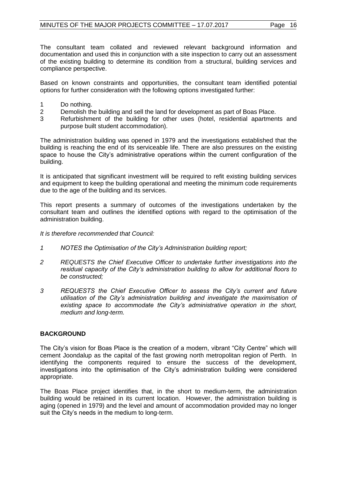The consultant team collated and reviewed relevant background information and documentation and used this in conjunction with a site inspection to carry out an assessment of the existing building to determine its condition from a structural, building services and compliance perspective.

Based on known constraints and opportunities, the consultant team identified potential options for further consideration with the following options investigated further:

- 1 Do nothing.
- 2 Demolish the building and sell the land for development as part of Boas Place.
- 3 Refurbishment of the building for other uses (hotel, residential apartments and purpose built student accommodation).

The administration building was opened in 1979 and the investigations established that the building is reaching the end of its serviceable life. There are also pressures on the existing space to house the City"s administrative operations within the current configuration of the building.

It is anticipated that significant investment will be required to refit existing building services and equipment to keep the building operational and meeting the minimum code requirements due to the age of the building and its services.

This report presents a summary of outcomes of the investigations undertaken by the consultant team and outlines the identified options with regard to the optimisation of the administration building.

*It is therefore recommended that Council:*

- *1 NOTES the Optimisation of the City's Administration building report;*
- *2 REQUESTS the Chief Executive Officer to undertake further investigations into the residual capacity of the City's administration building to allow for additional floors to be constructed;*
- *3 REQUESTS the Chief Executive Officer to assess the City's current and future utilisation of the City's administration building and investigate the maximisation of existing space to accommodate the City's administrative operation in the short, medium and long-term.*

# **BACKGROUND**

The City"s vision for Boas Place is the creation of a modern, vibrant "City Centre" which will cement Joondalup as the capital of the fast growing north metropolitan region of Perth. In identifying the components required to ensure the success of the development, investigations into the optimisation of the City"s administration building were considered appropriate.

The Boas Place project identifies that, in the short to medium-term, the administration building would be retained in its current location. However, the administration building is aging (opened in 1979) and the level and amount of accommodation provided may no longer suit the City"s needs in the medium to long-term.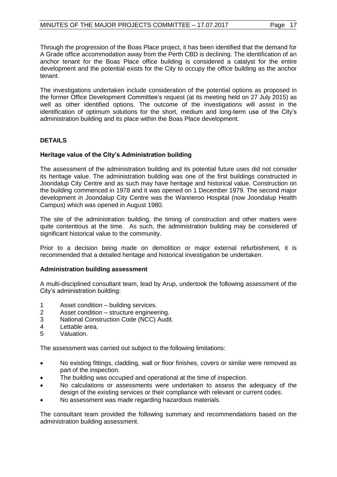Through the progression of the Boas Place project, it has been identified that the demand for A Grade office accommodation away from the Perth CBD is declining. The identification of an anchor tenant for the Boas Place office building is considered a catalyst for the entire development and the potential exists for the City to occupy the office building as the anchor tenant.

The investigations undertaken include consideration of the potential options as proposed in the former Office Development Committee"s request (at its meeting held on 27 July 2015) as well as other identified options. The outcome of the investigations will assist in the identification of optimum solutions for the short, medium and long-term use of the City"s administration building and its place within the Boas Place development.

# **DETAILS**

# **Heritage value of the City's Administration building**

The assessment of the administration building and its potential future uses did not consider its heritage value. The administration building was one of the first buildings constructed in Joondalup City Centre and as such may have heritage and historical value. Construction on the building commenced in 1978 and it was opened on 1 December 1979. The second major development in Joondalup City Centre was the Wanneroo Hospital (now Joondalup Health Campus) which was opened in August 1980.

The site of the administration building, the timing of construction and other matters were quite contentious at the time. As such, the administration building may be considered of significant historical value to the community.

Prior to a decision being made on demolition or major external refurbishment, it is recommended that a detailed heritage and historical investigation be undertaken.

#### **Administration building assessment**

A multi-disciplined consultant team, lead by Arup, undertook the following assessment of the City"s administration building:

- 1 Asset condition building services.
- 2 Asset condition structure engineering.
- 3 National Construction Code (NCC) Audit.
- 4 Lettable area.<br>5 Valuation.
- Valuation.

The assessment was carried out subject to the following limitations:

- No existing fittings, cladding, wall or floor finishes, covers or similar were removed as part of the inspection.
- The building was occupied and operational at the time of inspection.
- No calculations or assessments were undertaken to assess the adequacy of the design of the existing services or their compliance with relevant or current codes.
- No assessment was made regarding hazardous materials.

The consultant team provided the following summary and recommendations based on the administration building assessment.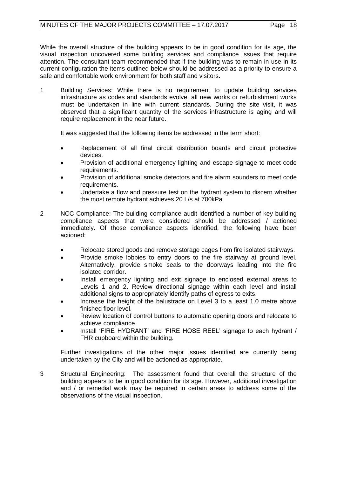While the overall structure of the building appears to be in good condition for its age, the visual inspection uncovered some building services and compliance issues that require attention. The consultant team recommended that if the building was to remain in use in its current configuration the items outlined below should be addressed as a priority to ensure a safe and comfortable work environment for both staff and visitors.

1 Building Services: While there is no requirement to update building services infrastructure as codes and standards evolve, all new works or refurbishment works must be undertaken in line with current standards. During the site visit, it was observed that a significant quantity of the services infrastructure is aging and will require replacement in the near future.

It was suggested that the following items be addressed in the term short:

- Replacement of all final circuit distribution boards and circuit protective devices.
- Provision of additional emergency lighting and escape signage to meet code requirements.
- Provision of additional smoke detectors and fire alarm sounders to meet code requirements.
- Undertake a flow and pressure test on the hydrant system to discern whether the most remote hydrant achieves 20 L/s at 700kPa.
- 2 NCC Compliance: The building compliance audit identified a number of key building compliance aspects that were considered should be addressed / actioned immediately. Of those compliance aspects identified, the following have been actioned:
	- Relocate stored goods and remove storage cages from fire isolated stairways.
	- Provide smoke lobbies to entry doors to the fire stairway at ground level. Alternatively, provide smoke seals to the doorways leading into the fire isolated corridor.
	- Install emergency lighting and exit signage to enclosed external areas to Levels 1 and 2. Review directional signage within each level and install additional signs to appropriately identify paths of egress to exits.
	- Increase the height of the balustrade on Level 3 to a least 1.0 metre above finished floor level.
	- Review location of control buttons to automatic opening doors and relocate to achieve compliance.
	- Install "FIRE HYDRANT" and "FIRE HOSE REEL" signage to each hydrant / FHR cupboard within the building.

Further investigations of the other major issues identified are currently being undertaken by the City and will be actioned as appropriate.

3 Structural Engineering: The assessment found that overall the structure of the building appears to be in good condition for its age. However, additional investigation and / or remedial work may be required in certain areas to address some of the observations of the visual inspection.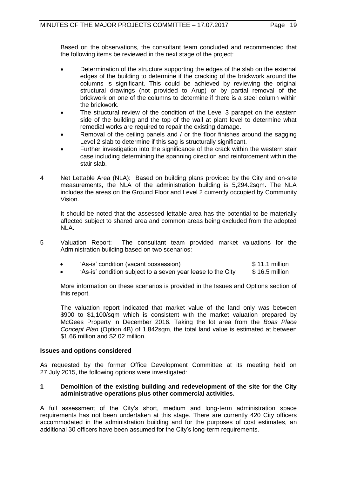Based on the observations, the consultant team concluded and recommended that the following items be reviewed in the next stage of the project:

- Determination of the structure supporting the edges of the slab on the external edges of the building to determine if the cracking of the brickwork around the columns is significant. This could be achieved by reviewing the original structural drawings (not provided to Arup) or by partial removal of the brickwork on one of the columns to determine if there is a steel column within the brickwork.
- The structural review of the condition of the Level 3 parapet on the eastern side of the building and the top of the wall at plant level to determine what remedial works are required to repair the existing damage.
- Removal of the ceiling panels and / or the floor finishes around the sagging Level 2 slab to determine if this sag is structurally significant.
- Further investigation into the significance of the crack within the western stair case including determining the spanning direction and reinforcement within the stair slab.
- 4 Net Lettable Area (NLA): Based on building plans provided by the City and on-site measurements, the NLA of the administration building is 5,294.2sqm. The NLA includes the areas on the Ground Floor and Level 2 currently occupied by Community Vision.

It should be noted that the assessed lettable area has the potential to be materially affected subject to shared area and common areas being excluded from the adopted NLA.

5 Valuation Report: The consultant team provided market valuations for the Administration building based on two scenarios:

|  | 'As-is' condition (vacant possession) | $$11.1$ million |
|--|---------------------------------------|-----------------|
|--|---------------------------------------|-----------------|

'As-is' condition subject to a seven year lease to the City  $$ 16.5$  million

More information on these scenarios is provided in the Issues and Options section of this report.

The valuation report indicated that market value of the land only was between \$900 to \$1,100/sqm which is consistent with the market valuation prepared by McGees Property in December 2016. Taking the lot area from the *Boas Place Concept Plan* (Option 4B) of 1,842sqm, the total land value is estimated at between \$1.66 million and \$2.02 million.

# **Issues and options considered**

As requested by the former Office Development Committee at its meeting held on 27 July 2015, the following options were investigated:

#### **1 Demolition of the existing building and redevelopment of the site for the City administrative operations plus other commercial activities.**

A full assessment of the City"s short, medium and long-term administration space requirements has not been undertaken at this stage. There are currently 420 City officers accommodated in the administration building and for the purposes of cost estimates, an additional 30 officers have been assumed for the City"s long-term requirements.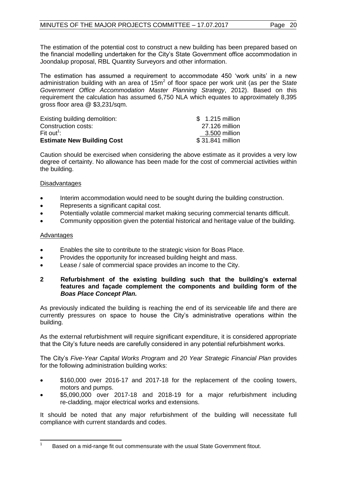The estimation of the potential cost to construct a new building has been prepared based on the financial modelling undertaken for the City"s State Government office accommodation in Joondalup proposal, RBL Quantity Surveyors and other information.

The estimation has assumed a requirement to accommodate 450 'work units' in a new administration building with an area of 15m<sup>2</sup> of floor space per work unit (as per the S*tate Government Office Accommodation Master Planning Strategy*, 2012). Based on this requirement the calculation has assumed 6,750 NLA which equates to approximately 8,395 gross floor area @ \$3,231/sqm.

| Existing building demolition:     | \$ 1.215 million |
|-----------------------------------|------------------|
| Construction costs:               | 27.126 million   |
| Fit out <sup>1</sup> :            | 3.500 million    |
| <b>Estimate New Building Cost</b> | \$31.841 million |

Caution should be exercised when considering the above estimate as it provides a very low degree of certainty. No allowance has been made for the cost of commercial activities within the building.

# **Disadvantages**

- Interim accommodation would need to be sought during the building construction.
- Represents a significant capital cost.
- Potentially volatile commercial market making securing commercial tenants difficult.
- Community opposition given the potential historical and heritage value of the building.

## Advantages

- Enables the site to contribute to the strategic vision for Boas Place.
- Provides the opportunity for increased building height and mass.
- Lease / sale of commercial space provides an income to the City.

# **2 Refurbishment of the existing building such that the building's external features and façade complement the components and building form of the**  *Boas Place Concept Plan.*

As previously indicated the building is reaching the end of its serviceable life and there are currently pressures on space to house the City"s administrative operations within the building.

As the external refurbishment will require significant expenditure, it is considered appropriate that the City"s future needs are carefully considered in any potential refurbishment works.

The City"s *Five-Year Capital Works Program* and *20 Year Strategic Financial Plan* provides for the following administration building works:

- \$160,000 over 2016-17 and 2017-18 for the replacement of the cooling towers, motors and pumps.
- \$5,090,000 over 2017-18 and 2018-19 for a major refurbishment including re-cladding, major electrical works and extensions.

It should be noted that any major refurbishment of the building will necessitate full compliance with current standards and codes.

 $\frac{1}{1}$ Based on a mid-range fit out commensurate with the usual State Government fitout.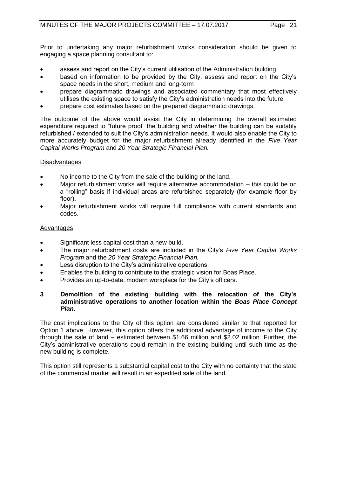Prior to undertaking any major refurbishment works consideration should be given to engaging a space planning consultant to:

- assess and report on the City's current utilisation of the Administration building
- based on information to be provided by the City, assess and report on the City's space needs in the short, medium and long-term
- prepare diagrammatic drawings and associated commentary that most effectively utilises the existing space to satisfy the City"s administration needs into the future
- prepare cost estimates based on the prepared diagrammatic drawings.

The outcome of the above would assist the City in determining the overall estimated expenditure required to "future proof" the building and whether the building can be suitably refurbished / extended to suit the City"s administration needs. It would also enable the City to more accurately budget for the major refurbishment already identified in the *Five Year Capital Works Program* and *20 Year Strategic Financial Plan.*

# **Disadvantages**

- No income to the City from the sale of the building or the land.
- Major refurbishment works will require alternative accommodation this could be on a "rolling" basis if individual areas are refurbished separately (for example floor by floor).
- Major refurbishment works will require full compliance with current standards and codes.

# Advantages

- Significant less capital cost than a new build.
- The major refurbishment costs are included in the City"s *Five Year Capital Works Program* and the *20 Year Strategic Financial Plan.*
- Less disruption to the City's administrative operations.
- **Enables the building to contribute to the strategic vision for Boas Place.**
- Provides an up-to-date, modern workplace for the City"s officers.
- **3 Demolition of the existing building with the relocation of the City's administrative operations to another location within the** *Boas Place Concept Plan.*

The cost implications to the City of this option are considered similar to that reported for Option 1 above. However, this option offers the additional advantage of income to the City through the sale of land – estimated between \$1.66 million and \$2.02 million. Further, the City"s administrative operations could remain in the existing building until such time as the new building is complete.

This option still represents a substantial capital cost to the City with no certainty that the state of the commercial market will result in an expedited sale of the land.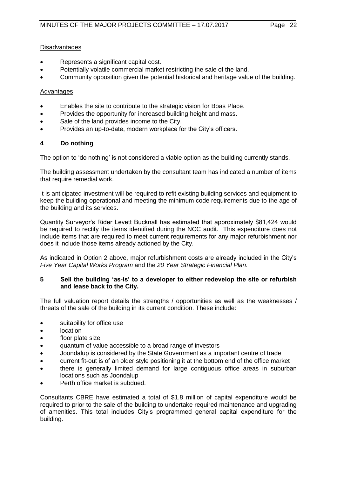# **Disadvantages**

- Represents a significant capital cost.
- Potentially volatile commercial market restricting the sale of the land.
- Community opposition given the potential historical and heritage value of the building.

# Advantages

- Enables the site to contribute to the strategic vision for Boas Place.
- Provides the opportunity for increased building height and mass.
- Sale of the land provides income to the City.
- Provides an up-to-date, modern workplace for the City's officers.

# **4 Do nothing**

The option to "do nothing" is not considered a viable option as the building currently stands.

The building assessment undertaken by the consultant team has indicated a number of items that require remedial work.

It is anticipated investment will be required to refit existing building services and equipment to keep the building operational and meeting the minimum code requirements due to the age of the building and its services.

Quantity Surveyor"s Rider Levett Bucknall has estimated that approximately \$81,424 would be required to rectify the items identified during the NCC audit. This expenditure does not include items that are required to meet current requirements for any major refurbishment nor does it include those items already actioned by the City.

As indicated in Option 2 above, major refurbishment costs are already included in the City"s *Five Year Capital Works Program* and the *20 Year Strategic Financial Plan.*

# **5 Sell the building 'as-is' to a developer to either redevelop the site or refurbish and lease back to the City.**

The full valuation report details the strengths / opportunities as well as the weaknesses / threats of the sale of the building in its current condition. These include:

- suitability for office use
- location
- floor plate size
- quantum of value accessible to a broad range of investors
- Joondalup is considered by the State Government as a important centre of trade
- current fit-out is of an older style positioning it at the bottom end of the office market
- there is generally limited demand for large contiguous office areas in suburban locations such as Joondalup
- Perth office market is subdued.

Consultants CBRE have estimated a total of \$1.8 million of capital expenditure would be required to prior to the sale of the building to undertake required maintenance and upgrading of amenities. This total includes City"s programmed general capital expenditure for the building.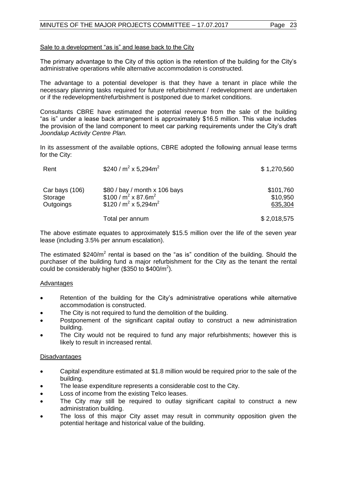# Sale to a development "as is" and lease back to the City

The primary advantage to the City of this option is the retention of the building for the City"s administrative operations while alternative accommodation is constructed.

The advantage to a potential developer is that they have a tenant in place while the necessary planning tasks required for future refurbishment / redevelopment are undertaken or if the redevelopment/refurbishment is postponed due to market conditions.

Consultants CBRE have estimated the potential revenue from the sale of the building "as is" under a lease back arrangement is approximately \$16.5 million. This value includes the provision of the land component to meet car parking requirements under the City"s draft *Joondalup Activity Centre Plan.*

In its assessment of the available options, CBRE adopted the following annual lease terms for the City:

| Rent                                   | \$240 / $m^2$ x 5,294 $m^2$                                                                | \$1,270,560                      |
|----------------------------------------|--------------------------------------------------------------------------------------------|----------------------------------|
| Car bays (106)<br>Storage<br>Outgoings | \$80 / bay / month x 106 bays<br>\$100 / $m^2$ x 87.6 $m^2$<br>\$120 / $m^2$ x 5,294 $m^2$ | \$101,760<br>\$10,950<br>635,304 |
|                                        | Total per annum                                                                            | \$2,018,575                      |

The above estimate equates to approximately \$15.5 million over the life of the seven year lease (including 3.5% per annum escalation).

The estimated \$240/m<sup>2</sup> rental is based on the "as is" condition of the building. Should the purchaser of the building fund a major refurbishment for the City as the tenant the rental could be considerably higher (\$350 to \$400/m<sup>2</sup>).

# Advantages

- Retention of the building for the City's administrative operations while alternative accommodation is constructed.
- The City is not required to fund the demolition of the building.
- Postponement of the significant capital outlay to construct a new administration building.
- The City would not be required to fund any major refurbishments; however this is likely to result in increased rental.

# **Disadvantages**

- Capital expenditure estimated at \$1.8 million would be required prior to the sale of the building.
- The lease expenditure represents a considerable cost to the City.
- Loss of income from the existing Telco leases.
- The City may still be required to outlay significant capital to construct a new administration building.
- The loss of this major City asset may result in community opposition given the potential heritage and historical value of the building.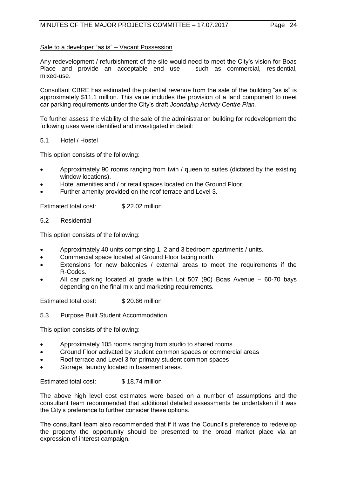# Sale to a developer "as is" – Vacant Possession

Any redevelopment / refurbishment of the site would need to meet the City"s vision for Boas Place and provide an acceptable end use – such as commercial, residential, mixed-use.

Consultant CBRE has estimated the potential revenue from the sale of the building "as is" is approximately \$11.1 million. This value includes the provision of a land component to meet car parking requirements under the City"s draft *Joondalup Activity Centre Plan.*

To further assess the viability of the sale of the administration building for redevelopment the following uses were identified and investigated in detail:

# 5.1 Hotel / Hostel

This option consists of the following:

- Approximately 90 rooms ranging from twin / queen to suites (dictated by the existing window locations).
- Hotel amenities and / or retail spaces located on the Ground Floor.
- Further amenity provided on the roof terrace and Level 3.

Estimated total cost: \$22.02 million

## 5.2 Residential

This option consists of the following:

- Approximately 40 units comprising 1, 2 and 3 bedroom apartments / units.
- **•** Commercial space located at Ground Floor facing north.
- Extensions for new balconies / external areas to meet the requirements if the R-Codes.
- All car parking located at grade within Lot 507 (90) Boas Avenue 60-70 bays depending on the final mix and marketing requirements.

Estimated total cost: \$ 20.66 million

5.3 Purpose Built Student Accommodation

This option consists of the following:

- Approximately 105 rooms ranging from studio to shared rooms
- Ground Floor activated by student common spaces or commercial areas
- Roof terrace and Level 3 for primary student common spaces
- Storage, laundry located in basement areas.

Estimated total cost: \$18.74 million

The above high level cost estimates were based on a number of assumptions and the consultant team recommended that additional detailed assessments be undertaken if it was the City"s preference to further consider these options.

The consultant team also recommended that if it was the Council"s preference to redevelop the property the opportunity should be presented to the broad market place via an expression of interest campaign.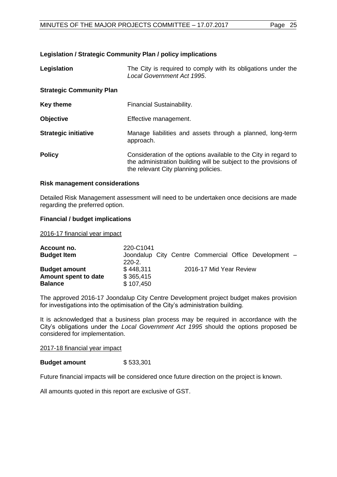# **Legislation / Strategic Community Plan / policy implications**

| Legislation                     | The City is required to comply with its obligations under the<br><b>Local Government Act 1995.</b>                                                                          |
|---------------------------------|-----------------------------------------------------------------------------------------------------------------------------------------------------------------------------|
| <b>Strategic Community Plan</b> |                                                                                                                                                                             |
| <b>Key theme</b>                | Financial Sustainability.                                                                                                                                                   |
| <b>Objective</b>                | Effective management.                                                                                                                                                       |
| <b>Strategic initiative</b>     | Manage liabilities and assets through a planned, long-term<br>approach.                                                                                                     |
| <b>Policy</b>                   | Consideration of the options available to the City in regard to<br>the administration building will be subject to the provisions of<br>the relevant City planning policies. |

#### **Risk management considerations**

Detailed Risk Management assessment will need to be undertaken once decisions are made regarding the preferred option.

#### **Financial / budget implications**

2016-17 financial year impact

| Account no.          | 220-C1041   |                                                       |
|----------------------|-------------|-------------------------------------------------------|
| <b>Budget Item</b>   |             | Joondalup City Centre Commercial Office Development - |
|                      | $220 - 2$ . |                                                       |
| <b>Budget amount</b> | \$448.311   | 2016-17 Mid Year Review                               |
| Amount spent to date | \$365,415   |                                                       |
| <b>Balance</b>       | \$107,450   |                                                       |

The approved 2016-17 Joondalup City Centre Development project budget makes provision for investigations into the optimisation of the City"s administration building.

It is acknowledged that a business plan process may be required in accordance with the City"s obligations under the *Local Government Act 1995* should the options proposed be considered for implementation.

2017-18 financial year impact

#### **Budget amount** \$533,301

Future financial impacts will be considered once future direction on the project is known.

All amounts quoted in this report are exclusive of GST.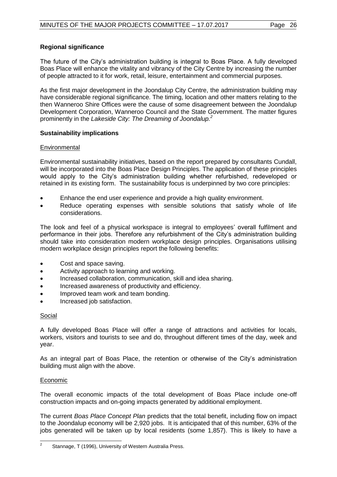# **Regional significance**

The future of the City"s administration building is integral to Boas Place. A fully developed Boas Place will enhance the vitality and vibrancy of the City Centre by increasing the number of people attracted to it for work, retail, leisure, entertainment and commercial purposes.

As the first major development in the Joondalup City Centre, the administration building may have considerable regional significance. The timing, location and other matters relating to the then Wanneroo Shire Offices were the cause of some disagreement between the Joondalup Development Corporation, Wanneroo Council and the State Government. The matter figures prominently in the *Lakeside City: The Dreaming of Joondalup.<sup>2</sup>*

# **Sustainability implications**

# **Environmental**

Environmental sustainability initiatives, based on the report prepared by consultants Cundall, will be incorporated into the Boas Place Design Principles. The application of these principles would apply to the City"s administration building whether refurbished, redeveloped or retained in its existing form. The sustainability focus is underpinned by two core principles:

- Enhance the end user experience and provide a high quality environment.
- Reduce operating expenses with sensible solutions that satisfy whole of life considerations.

The look and feel of a physical workspace is integral to employees" overall fulfilment and performance in their jobs. Therefore any refurbishment of the City"s administration building should take into consideration modern workplace design principles. Organisations utilising modern workplace design principles report the following benefits:

- Cost and space saving.
- Activity approach to learning and working.
- Increased collaboration, communication, skill and idea sharing.
- Increased awareness of productivity and efficiency.
- Improved team work and team bonding.
- Increased job satisfaction.

# Social

A fully developed Boas Place will offer a range of attractions and activities for locals, workers, visitors and tourists to see and do, throughout different times of the day, week and year.

As an integral part of Boas Place, the retention or otherwise of the City"s administration building must align with the above.

# Economic

The overall economic impacts of the total development of Boas Place include one-off construction impacts and on-going impacts generated by additional employment.

The current *Boas Place Concept Plan* predicts that the total benefit, including flow on impact to the Joondalup economy will be 2,920 jobs. It is anticipated that of this number, 63% of the jobs generated will be taken up by local residents (some 1,857). This is likely to have a

 $\frac{1}{2}$ Stannage, T (1996), University of Western Australia Press.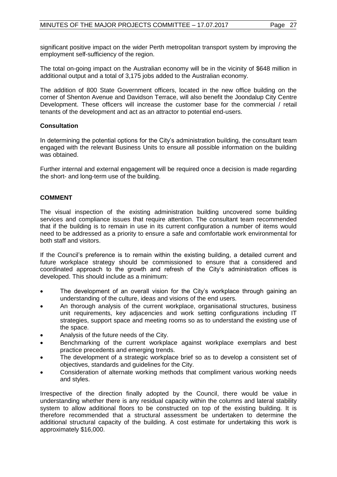significant positive impact on the wider Perth metropolitan transport system by improving the employment self-sufficiency of the region.

The total on-going impact on the Australian economy will be in the vicinity of \$648 million in additional output and a total of 3,175 jobs added to the Australian economy.

The addition of 800 State Government officers, located in the new office building on the corner of Shenton Avenue and Davidson Terrace, will also benefit the Joondalup City Centre Development. These officers will increase the customer base for the commercial / retail tenants of the development and act as an attractor to potential end-users.

# **Consultation**

In determining the potential options for the City's administration building, the consultant team engaged with the relevant Business Units to ensure all possible information on the building was obtained.

Further internal and external engagement will be required once a decision is made regarding the short- and long-term use of the building.

# **COMMENT**

The visual inspection of the existing administration building uncovered some building services and compliance issues that require attention. The consultant team recommended that if the building is to remain in use in its current configuration a number of items would need to be addressed as a priority to ensure a safe and comfortable work environmental for both staff and visitors.

If the Council"s preference is to remain within the existing building, a detailed current and future workplace strategy should be commissioned to ensure that a considered and coordinated approach to the growth and refresh of the City"s administration offices is developed. This should include as a minimum:

- The development of an overall vision for the City's workplace through gaining an understanding of the culture, ideas and visions of the end users.
- An thorough analysis of the current workplace, organisational structures, business unit requirements, key adjacencies and work setting configurations including IT strategies, support space and meeting rooms so as to understand the existing use of the space.
- Analysis of the future needs of the City.
- Benchmarking of the current workplace against workplace exemplars and best practice precedents and emerging trends.
- The development of a strategic workplace brief so as to develop a consistent set of objectives, standards and guidelines for the City.
- Consideration of alternate working methods that compliment various working needs and styles.

Irrespective of the direction finally adopted by the Council, there would be value in understanding whether there is any residual capacity within the columns and lateral stability system to allow additional floors to be constructed on top of the existing building. It is therefore recommended that a structural assessment be undertaken to determine the additional structural capacity of the building. A cost estimate for undertaking this work is approximately \$16,000.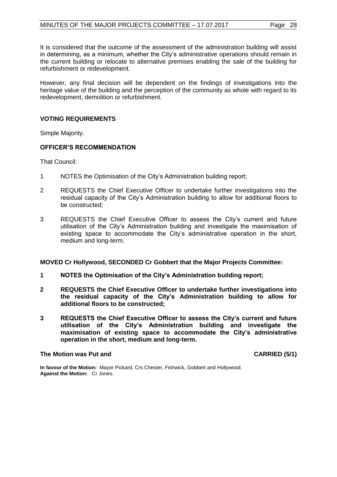It is considered that the outcome of the assessment of the administration building will assist in determining, as a minimum, whether the City"s administrative operations should remain in the current building or relocate to alternative premises enabling the sale of the building for refurbishment or redevelopment.

However, any final decision will be dependent on the findings of investigations into the heritage value of the building and the perception of the community as whole with regard to its redevelopment, demolition or refurbishment.

# **VOTING REQUIREMENTS**

Simple Majority.

# **OFFICER'S RECOMMENDATION**

That Council:

- 1 NOTES the Optimisation of the City"s Administration building report;
- 2 REQUESTS the Chief Executive Officer to undertake further investigations into the residual capacity of the City"s Administration building to allow for additional floors to be constructed;
- 3 REQUESTS the Chief Executive Officer to assess the City"s current and future utilisation of the City"s Administration building and investigate the maximisation of existing space to accommodate the City"s administrative operation in the short, medium and long-term.

#### **MOVED Cr Hollywood, SECONDED Cr Gobbert that the Major Projects Committee:**

- **1 NOTES the Optimisation of the City's Administration building report;**
- **2 REQUESTS the Chief Executive Officer to undertake further investigations into the residual capacity of the City's Administration building to allow for additional floors to be constructed;**
- **3 REQUESTS the Chief Executive Officer to assess the City's current and future utilisation of the City's Administration building and investigate the maximisation of existing space to accommodate the City's administrative operation in the short, medium and long-term.**

#### **The Motion was Put and CARRIED (5/1)**

**In favour of the Motion:** Mayor Pickard, Crs Chester, Fishwick, Gobbert and Hollywood. **Against the Motion:** Cr Jones.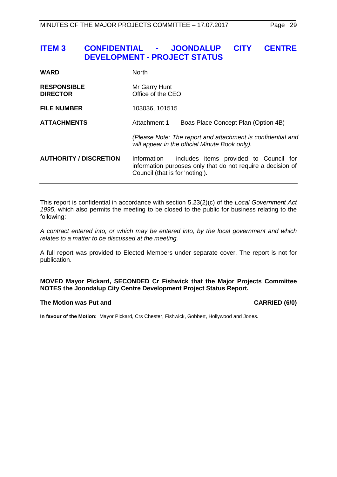# <span id="page-28-0"></span>**ITEM 3 CONFIDENTIAL - JOONDALUP CITY CENTRE DEVELOPMENT - PROJECT STATUS**

| <b>WARD</b>                           | <b>North</b>                                                                                                                                           |  |
|---------------------------------------|--------------------------------------------------------------------------------------------------------------------------------------------------------|--|
| <b>RESPONSIBLE</b><br><b>DIRECTOR</b> | Mr Garry Hunt<br>Office of the CEO                                                                                                                     |  |
| <b>FILE NUMBER</b>                    | 103036, 101515                                                                                                                                         |  |
| <b>ATTACHMENTS</b>                    | Attachment 1<br>Boas Place Concept Plan (Option 4B)                                                                                                    |  |
|                                       | (Please Note: The report and attachment is confidential and<br>will appear in the official Minute Book only).                                          |  |
| <b>AUTHORITY / DISCRETION</b>         | Information - includes items provided to Council for<br>information purposes only that do not require a decision of<br>Council (that is for 'noting'). |  |

This report is confidential in accordance with section 5.23(2)(c) of the *Local Government Act 1995*, which also permits the meeting to be closed to the public for business relating to the following:

*A contract entered into, or which may be entered into, by the local government and which relates to a matter to be discussed at the meeting.*

A full report was provided to Elected Members under separate cover. The report is not for publication.

# **MOVED Mayor Pickard, SECONDED Cr Fishwick that the Major Projects Committee NOTES the Joondalup City Centre Development Project Status Report.**

### **The Motion was Put and CARRIED (6/0)**

**In favour of the Motion:** Mayor Pickard, Crs Chester, Fishwick, Gobbert, Hollywood and Jones.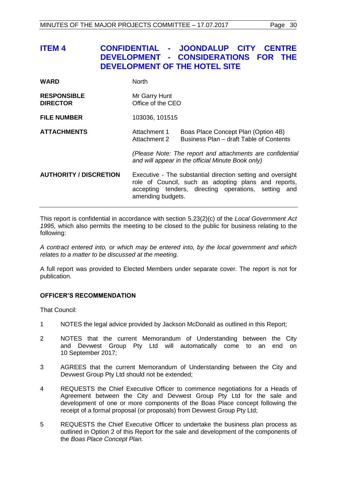<span id="page-29-0"></span>

| ITEM 4 | CONFIDENTIAL - JOONDALUP CITY CENTRE |  |
|--------|--------------------------------------|--|
|        | DEVELOPMENT - CONSIDERATIONS FOR THE |  |
|        | DEVELOPMENT OF THE HOTEL SITE        |  |
|        |                                      |  |

| <b>RESPONSIBLE</b><br><b>DIRECTOR</b> | Mr Garry Hunt<br>Office of the CEO |  |
|---------------------------------------|------------------------------------|--|
| <b>FILE NUMBER</b>                    | 103036, 101515                     |  |

WARD North

# **ATTACHMENTS** Attachment 1 Boas Place Concept Plan (Option 4B)<br>Attachment 2 Business Plan – draft Table of Content Business Plan – draft Table of Contents

*(Please Note: The report and attachments are confidential and will appear in the official Minute Book only)*

**AUTHORITY / DISCRETION** Executive - The substantial direction setting and oversight role of Council, such as adopting plans and reports, accepting tenders, directing operations, setting and amending budgets.

This report is confidential in accordance with section 5.23(2)(c) of the *Local Government Act 1995*, which also permits the meeting to be closed to the public for business relating to the following:

*A contract entered into, or which may be entered into, by the local government and which relates to a matter to be discussed at the meeting.*

A full report was provided to Elected Members under separate cover. The report is not for publication.

# **OFFICER'S RECOMMENDATION**

That Council:

- 1 NOTES the legal advice provided by Jackson McDonald as outlined in this Report;
- 2 NOTES that the current Memorandum of Understanding between the City and Devwest Group Pty Ltd will automatically come to an end on 10 September 2017;
- 3 AGREES that the current Memorandum of Understanding between the City and Devwest Group Pty Ltd should not be extended;
- 4 REQUESTS the Chief Executive Officer to commence negotiations for a Heads of Agreement between the City and Devwest Group Pty Ltd for the sale and development of one or more components of the Boas Place concept following the receipt of a formal proposal (or proposals) from Devwest Group Pty Ltd;
- 5 REQUESTS the Chief Executive Officer to undertake the business plan process as outlined in Option 2 of this Report for the sale and development of the components of the *Boas Place Concept Plan.*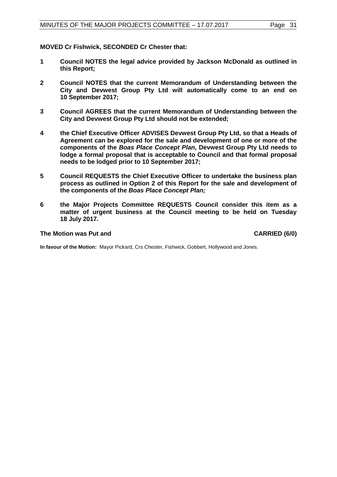**MOVED Cr Fishwick, SECONDED Cr Chester that:**

- **1 Council NOTES the legal advice provided by Jackson McDonald as outlined in this Report;**
- **2 Council NOTES that the current Memorandum of Understanding between the City and Devwest Group Pty Ltd will automatically come to an end on 10 September 2017;**
- **3 Council AGREES that the current Memorandum of Understanding between the City and Devwest Group Pty Ltd should not be extended;**
- **4 the Chief Executive Officer ADVISES Devwest Group Pty Ltd, so that a Heads of Agreement can be explored for the sale and development of one or more of the components of the** *Boas Place Concept Plan***, Devwest Group Pty Ltd needs to lodge a formal proposal that is acceptable to Council and that formal proposal needs to be lodged prior to 10 September 2017;**
- **5 Council REQUESTS the Chief Executive Officer to undertake the business plan process as outlined in Option 2 of this Report for the sale and development of the components of the** *Boas Place Concept Plan;*
- **6 the Major Projects Committee REQUESTS Council consider this item as a matter of urgent business at the Council meeting to be held on Tuesday 18 July 2017.**

#### **The Motion was Put and CARRIED (6/0)**

**In favour of the Motion:** Mayor Pickard, Crs Chester, Fishwick, Gobbert, Hollywood and Jones.